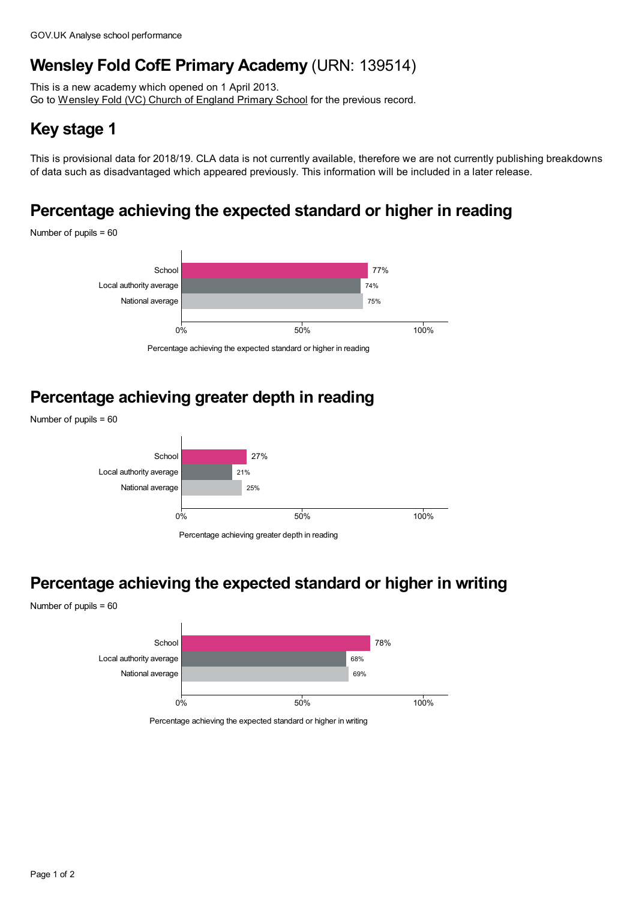# **Wensley Fold CofE Primary Academy** (URN: 139514)

This is a new academy which opened on 1 April 2013. Go to [Wensley](https://www.analyse-school-performance.service.gov.uk/School/Details/119412) Fold (VC) Church of England Primary School for the previous record.

# **Key stage 1**

This is provisional data for 2018/19. CLA data is not currently available, therefore we are not currently publishing breakdowns of data such as disadvantaged which appeared previously. This information will be included in a later release.

# **Percentage achieving the expected standard or higher in reading**

Number of pupils = 60



Percentage achieving the expected standard or higher in reading

# **Percentage achieving greater depth in reading**





Percentage achieving greater depth in reading

### **Percentage achieving the expected standard or higher in writing**

Number of pupils = 60



Percentage achieving the expected standard or higher in writing